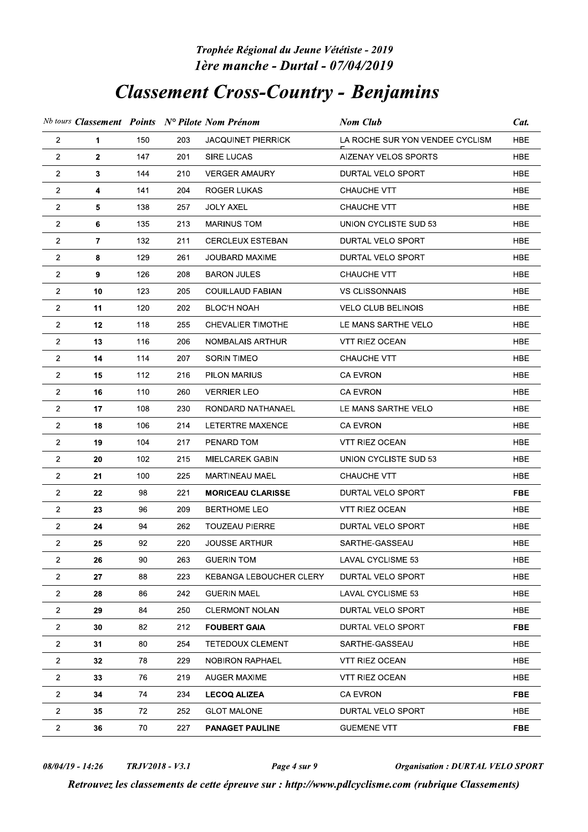## phee Regional du Jeune Vetetiste - 2019 lere manche - Durtal

## Classement Cross-Country - Benjamins

|                                  |                |                 |            | Trophée Régional du Jeune Vététiste - 2019<br>1ère manche - Durtal - 07/04/2019 |                                                                                                                                               |                          |
|----------------------------------|----------------|-----------------|------------|---------------------------------------------------------------------------------|-----------------------------------------------------------------------------------------------------------------------------------------------|--------------------------|
|                                  |                |                 |            | <b>Classement Cross-Country - Benjamins</b>                                     |                                                                                                                                               |                          |
|                                  |                |                 |            | Nb tours Classement Points N° Pilote Nom Prénom                                 | Nom Club                                                                                                                                      | Cat.                     |
| $\overline{2}$                   | 1              | 150             | 203        | <b>JACQUINET PIERRICK</b>                                                       | LA ROCHE SUR YON VENDEE CYCLISM                                                                                                               | <b>HBE</b>               |
| $\overline{2}$                   | $\mathbf{2}$   | 147             | 201        | <b>SIRE LUCAS</b>                                                               | AIZENAY VELOS SPORTS                                                                                                                          | <b>HBE</b>               |
| $\overline{c}$                   | 3              | 144             | 210        | <b>VERGER AMAURY</b>                                                            | <b>DURTAL VELO SPORT</b>                                                                                                                      | <b>HBE</b>               |
| $\overline{2}$                   | 4              | 141             | 204        | <b>ROGER LUKAS</b>                                                              | CHAUCHE VTT                                                                                                                                   | <b>HBE</b>               |
| $\overline{2}$                   | 5              | 138             | 257        | <b>JOLY AXEL</b>                                                                | CHAUCHE VTT                                                                                                                                   | <b>HBE</b>               |
| $\overline{2}$                   | 6              | 135             | 213        | <b>MARINUS TOM</b>                                                              | UNION CYCLISTE SUD 53                                                                                                                         | HBE                      |
| 2                                | $\overline{7}$ | 132             | 211        | <b>CERCLEUX ESTEBAN</b>                                                         | DURTAL VELO SPORT                                                                                                                             | <b>HBE</b>               |
| $\overline{2}$                   | 8              | 129             | 261        | <b>JOUBARD MAXIME</b>                                                           | DURTAL VELO SPORT                                                                                                                             | <b>HBE</b>               |
| $\overline{2}$                   | 9              | 126             | 208        | <b>BARON JULES</b>                                                              | CHAUCHE VTT                                                                                                                                   | <b>HBE</b>               |
| $\overline{2}$                   | 10             | 123             | 205        | <b>COUILLAUD FABIAN</b>                                                         | <b>VS CLISSONNAIS</b>                                                                                                                         | <b>HBE</b>               |
| $\overline{2}$                   | 11             | 120             | 202        | <b>BLOC'H NOAH</b>                                                              | <b>VELO CLUB BELINOIS</b>                                                                                                                     | <b>HBE</b>               |
| $\overline{2}$                   | 12             | 118             | 255        | CHEVALIER TIMOTHE                                                               | LE MANS SARTHE VELO                                                                                                                           | HBE                      |
| 2                                | 13             | 116             | 206        | NOMBALAIS ARTHUR                                                                | VTT RIEZ OCEAN                                                                                                                                | <b>HBE</b>               |
| $\overline{2}$                   | 14             | 114             | 207        | SORIN TIMEO                                                                     | <b>CHAUCHE VTT</b>                                                                                                                            | <b>HBE</b>               |
| 2                                | 15             | 112             | 216        | PILON MARIUS                                                                    | CA EVRON                                                                                                                                      | HBE                      |
| $\overline{2}$                   | 16             | 110             | 260        | <b>VERRIER LEO</b>                                                              | <b>CA EVRON</b>                                                                                                                               | <b>HBE</b>               |
| $\overline{2}$                   | 17             | 108             | 230        | RONDARD NATHANAEL                                                               | LE MANS SARTHE VELO                                                                                                                           | <b>HBE</b>               |
| $\overline{2}$                   | 18             | 106             | 214        | LETERTRE MAXENCE                                                                | CA EVRON                                                                                                                                      | <b>HBE</b>               |
| $\overline{2}$                   | 19             | 104             | 217        | PENARD TOM                                                                      | <b>VTT RIEZ OCEAN</b>                                                                                                                         | <b>HBE</b>               |
| $\overline{2}$<br>$\overline{2}$ | 20             | 102             | 215        | MIELCAREK GABIN                                                                 | UNION CYCLISTE SUD 53                                                                                                                         | <b>HBE</b><br><b>HBE</b> |
| $\overline{2}$                   | 21<br>22       | 100<br>98       | 225<br>221 | MARTINEAU MAEL<br><b>MORICEAU CLARISSE</b>                                      | CHAUCHE VTT<br>DURTAL VELO SPORT                                                                                                              | <b>FBE</b>               |
| $\overline{2}$                   | 23             | 96              | 209        | BERTHOME LEO                                                                    | VTT RIEZ OCEAN                                                                                                                                | <b>HBE</b>               |
| $\overline{2}$                   | 24             | 94              | 262        | <b>TOUZEAU PIERRE</b>                                                           | DURTAL VELO SPORT                                                                                                                             | <b>HBE</b>               |
| $\overline{2}$                   | 25             | 92              | 220        | <b>JOUSSE ARTHUR</b>                                                            | SARTHE-GASSEAU                                                                                                                                | <b>HBE</b>               |
| $\overline{2}$                   | 26             | 90              | 263        | <b>GUERIN TOM</b>                                                               | LAVAL CYCLISME 53                                                                                                                             | <b>HBE</b>               |
| $\overline{2}$                   | 27             | 88              | 223        | KEBANGA LEBOUCHER CLERY                                                         | DURTAL VELO SPORT                                                                                                                             | <b>HBE</b>               |
| $\overline{a}$                   | 28             | 86              | 242        | <b>GUERIN MAEL</b>                                                              | <b>LAVAL CYCLISME 53</b>                                                                                                                      | HBE                      |
| $\overline{2}$                   | 29             | 84              | 250        | CLERMONT NOLAN                                                                  | DURTAL VELO SPORT                                                                                                                             | <b>HBE</b>               |
| $\overline{2}$                   | 30             | 82              | 212        | <b>FOUBERT GAIA</b>                                                             | DURTAL VELO SPORT                                                                                                                             | <b>FBE</b>               |
| $2^{\circ}$                      | 31             | 80              | 254        | TETEDOUX CLEMENT                                                                | SARTHE-GASSEAU                                                                                                                                | <b>HBE</b>               |
| $\overline{2}$                   | 32             | 78              | 229        | NOBIRON RAPHAEL                                                                 | VTT RIEZ OCEAN                                                                                                                                | <b>HBE</b>               |
| $\overline{2}$                   | 33             | 76              | 219        | <b>AUGER MAXIME</b>                                                             | VTT RIEZ OCEAN                                                                                                                                | <b>HBE</b>               |
| $\overline{a}$                   | 34             | 74              | 234        | <b>LECOQ ALIZEA</b>                                                             | CA EVRON                                                                                                                                      | <b>FBE</b>               |
| $\overline{2}$                   | 35             | 72              | 252        | <b>GLOT MALONE</b>                                                              | DURTAL VELO SPORT                                                                                                                             | <b>HBE</b>               |
| $\overline{2}$                   | 36             | 70              | 227        | <b>PANAGET PAULINE</b>                                                          | <b>GUEMENE VTT</b>                                                                                                                            | <b>FBE</b>               |
| $08/04/19 - 14:26$               |                | TRJV2018 - V3.1 |            | Page 4 sur 9                                                                    | <b>Organisation : DURTAL VELO SPORT</b><br>Retrouvez les classements de cette épreuve sur : http://www.pdlcyclisme.com (rubrique Classements) |                          |